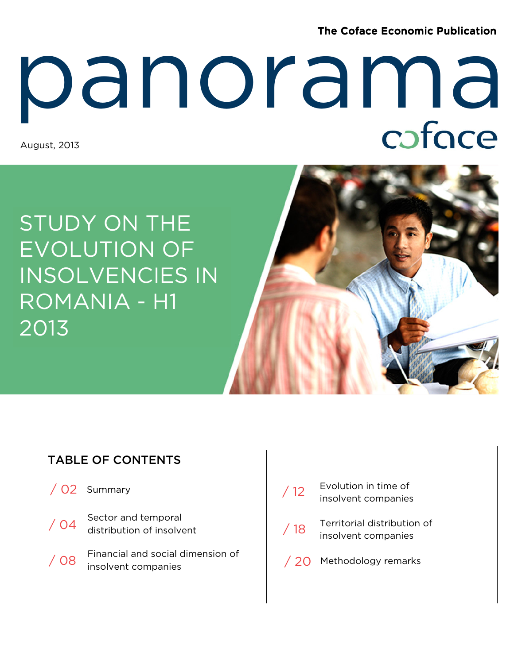**The Coface Economic Publication** 

# August, 2013 panorama<br>Reference

STUDY ON THE EVOLUTION OF INSOLVENCIES IN ROMANIA - H1 2013

### TABLE OF CONTENTS

- / 02 Summary
- Sector and temporal distribution of insolvent  $/$  04 Financial and social dimension of
- / 08 Financial and social dimension of the view of the depth of the insolvent companies
- Territorial distribution of ierritorial distributions<br>insolvent companies Evolution in time of 12 Evolution in time of<br>insolvent companies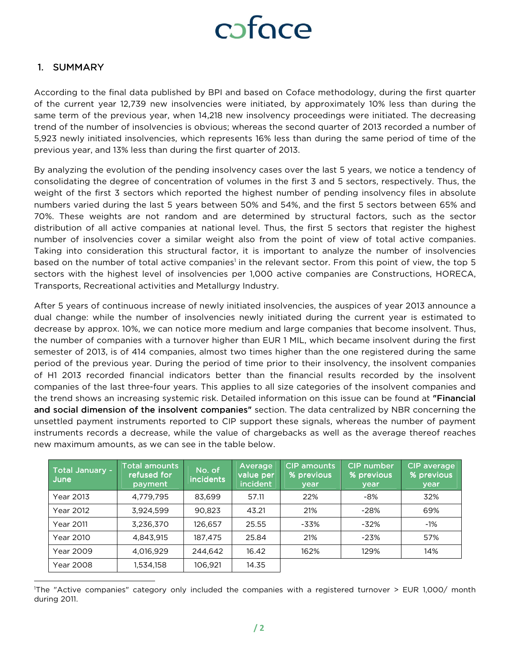#### 1. SUMMARY

 $\overline{a}$ 

According to the final data published by BPI and based on Coface methodology, during the first quarter of the current year 12,739 new insolvencies were initiated, by approximately 10% less than during the same term of the previous year, when 14,218 new insolvency proceedings were initiated. The decreasing trend of the number of insolvencies is obvious; whereas the second quarter of 2013 recorded a number of 5,923 newly initiated insolvencies, which represents 16% less than during the same period of time of the previous year, and 13% less than during the first quarter of 2013.

By analyzing the evolution of the pending insolvency cases over the last 5 years, we notice a tendency of consolidating the degree of concentration of volumes in the first 3 and 5 sectors, respectively. Thus, the weight of the first 3 sectors which reported the highest number of pending insolvency files in absolute numbers varied during the last 5 years between 50% and 54%, and the first 5 sectors between 65% and 70%. These weights are not random and are determined by structural factors, such as the sector distribution of all active companies at national level. Thus, the first 5 sectors that register the highest number of insolvencies cover a similar weight also from the point of view of total active companies. Taking into consideration this structural factor, it is important to analyze the number of insolvencies based on the number of total active companies<sup>1</sup> in the relevant sector. From this point of view, the top 5 sectors with the highest level of insolvencies per 1,000 active companies are Constructions, HORECA, Transports, Recreational activities and Metallurgy Industry.

After 5 years of continuous increase of newly initiated insolvencies, the auspices of year 2013 announce a dual change: while the number of insolvencies newly initiated during the current year is estimated to decrease by approx. 10%, we can notice more medium and large companies that become insolvent. Thus, the number of companies with a turnover higher than EUR 1 MIL, which became insolvent during the first semester of 2013, is of 414 companies, almost two times higher than the one registered during the same period of the previous year. During the period of time prior to their insolvency, the insolvent companies of H1 2013 recorded financial indicators better than the financial results recorded by the insolvent companies of the last three-four years. This applies to all size categories of the insolvent companies and the trend shows an increasing systemic risk. Detailed information on this issue can be found at "Financial" and social dimension of the insolvent companies" section. The data centralized by NBR concerning the unsettled payment instruments reported to CIP support these signals, whereas the number of payment instruments records a decrease, while the value of chargebacks as well as the average thereof reaches new maximum amounts, as we can see in the table below.

| Total January -<br>June | Total amounts<br>refused for<br>payment | No. of<br><i>incidents</i> | Average<br>value per<br>incident | <b>CIP amounts</b><br>% previous<br>year | CIP number<br>% previous<br>year | CIP average<br>% previous<br>year |
|-------------------------|-----------------------------------------|----------------------------|----------------------------------|------------------------------------------|----------------------------------|-----------------------------------|
| Year 2013               | 4,779,795                               | 83.699                     | 57.11                            | 22%                                      | $-8%$                            | 32%                               |
| Year 2012               | 3,924,599                               | 90.823                     | 43.21                            | 21%                                      | $-28%$                           | 69%                               |
| Year 2011               | 3,236,370                               | 126.657                    | 25.55                            | -33%                                     | $-32%$                           | $-1\%$                            |
| Year 2010               | 4,843,915                               | 187.475                    | 25.84                            | 21%                                      | $-23%$                           | 57%                               |
| Year 2009               | 4.016.929                               | 244.642                    | 16.42                            | 162%                                     | 129%                             | 14%                               |
| <b>Year 2008</b>        | 1,534,158                               | 106.921                    | 14.35                            |                                          |                                  |                                   |

<sup>1</sup>The "Active companies" category only included the companies with a registered turnover > EUR 1,000/ month during 2011.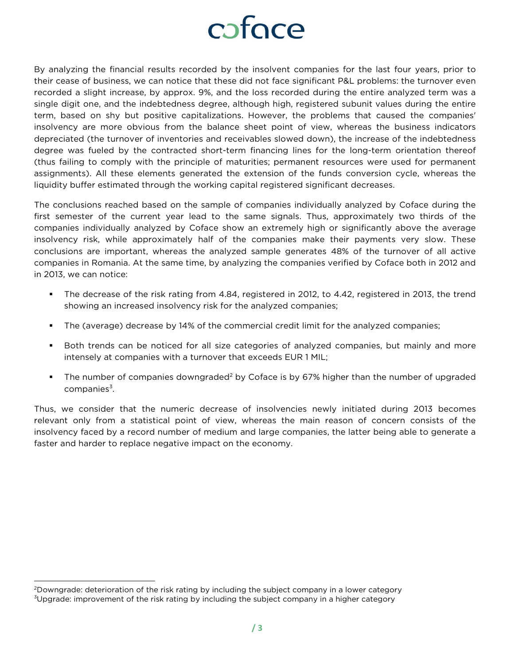### cofoce

By analyzing the financial results recorded by the insolvent companies for the last four years, prior to their cease of business, we can notice that these did not face significant P&L problems: the turnover even recorded a slight increase, by approx. 9%, and the loss recorded during the entire analyzed term was a single digit one, and the indebtedness degree, although high, registered subunit values during the entire term, based on shy but positive capitalizations. However, the problems that caused the companies' insolvency are more obvious from the balance sheet point of view, whereas the business indicators depreciated (the turnover of inventories and receivables slowed down), the increase of the indebtedness degree was fueled by the contracted short-term financing lines for the long-term orientation thereof (thus failing to comply with the principle of maturities; permanent resources were used for permanent assignments). All these elements generated the extension of the funds conversion cycle, whereas the liquidity buffer estimated through the working capital registered significant decreases.

The conclusions reached based on the sample of companies individually analyzed by Coface during the first semester of the current year lead to the same signals. Thus, approximately two thirds of the companies individually analyzed by Coface show an extremely high or significantly above the average insolvency risk, while approximately half of the companies make their payments very slow. These conclusions are important, whereas the analyzed sample generates 48% of the turnover of all active companies in Romania. At the same time, by analyzing the companies verified by Coface both in 2012 and in 2013, we can notice:

- The decrease of the risk rating from 4.84, registered in 2012, to 4.42, registered in 2013, the trend showing an increased insolvency risk for the analyzed companies;
- The (average) decrease by 14% of the commercial credit limit for the analyzed companies;
- **Both trends can be noticed for all size categories of analyzed companies, but mainly and more** intensely at companies with a turnover that exceeds EUR 1 MIL;
- The number of companies downgraded<sup>2</sup> by Coface is by 67% higher than the number of upgraded companies<sup>3</sup>.

Thus, we consider that the numeric decrease of insolvencies newly initiated during 2013 becomes relevant only from a statistical point of view, whereas the main reason of concern consists of the insolvency faced by a record number of medium and large companies, the latter being able to generate a faster and harder to replace negative impact on the economy.

 $\overline{a}$ 

<sup>&</sup>lt;sup>2</sup>Downgrade: deterioration of the risk rating by including the subject company in a lower category <sup>3</sup>Upgrade: improvement of the risk rating by including the subject company in a higher category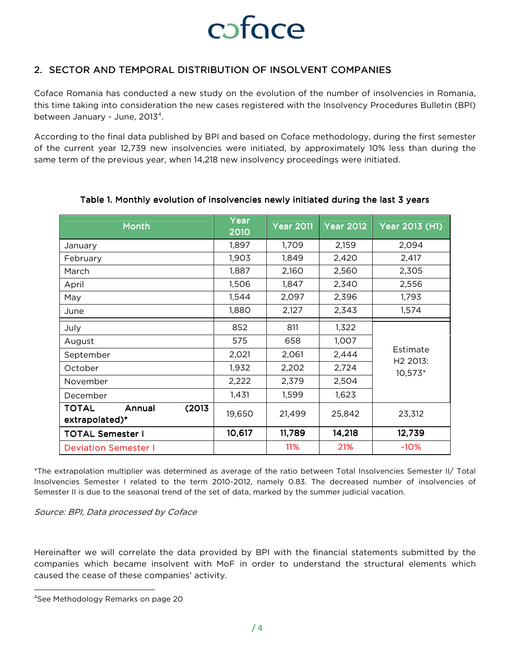

#### 2. SECTOR AND TEMPORAL DISTRIBUTION OF INSOLVENT COMPANIES

Coface Romania has conducted a new study on the evolution of the number of insolvencies in Romania, this time taking into consideration the new cases registered with the Insolvency Procedures Bulletin (BPI) between January - June, 2013<sup>4</sup>.

According to the final data published by BPI and based on Coface methodology, during the first semester of the current year 12,739 new insolvencies were initiated, by approximately 10% less than during the same term of the previous year, when 14,218 new insolvency proceedings were initiated.

| <b>Month</b>                                       | Year<br>2010 | <b>Year 2011</b> | <b>Year 2012</b> | Year 2013 (H1)                  |  |
|----------------------------------------------------|--------------|------------------|------------------|---------------------------------|--|
| January                                            | 1,897        | 1,709            | 2,159            | 2,094                           |  |
| February                                           | 1,903        | 1,849            | 2,420            | 2,417                           |  |
| March                                              | 1,887        | 2,160            | 2,560            | 2,305                           |  |
| April                                              | 1,506        | 1,847            | 2,340            | 2,556                           |  |
| May                                                | 1,544        | 2,097            | 2,396            | 1,793                           |  |
| June                                               | 1,880        | 2,127            | 2,343            | 1,574                           |  |
| July                                               | 852          | 811              | 1,322            |                                 |  |
| August                                             | 575          | 658              | 1,007            |                                 |  |
| September                                          | 2,021        | 2,061            | 2,444            | Estimate                        |  |
| October                                            | 1,932        | 2,202            | 2,724            | H <sub>2</sub> 2013:<br>10,573* |  |
| November                                           | 2,222        | 2,379            | 2,504            |                                 |  |
| December                                           | 1,431        | 1,599            | 1,623            |                                 |  |
| <b>TOTAL</b><br>(2013)<br>Annual<br>extrapolated)* | 19,650       | 21,499           | 25,842           | 23,312                          |  |
| <b>TOTAL Semester I</b>                            | 10,617       | 11,789           | 14,218           | 12,739                          |  |
| <b>Deviation Semester I</b>                        |              | 11%              | 21%              | $-10%$                          |  |

#### Table 1. Monthly evolution of insolvencies newly initiated during the last 3 years

\*The extrapolation multiplier was determined as average of the ratio between Total Insolvencies Semester II/ Total Insolvencies Semester I related to the term 2010-2012, namely 0.83. The decreased number of insolvencies of Semester II is due to the seasonal trend of the set of data, marked by the summer judicial vacation.

Source: BPI, Data processed by Coface

Hereinafter we will correlate the data provided by BPI with the financial statements submitted by the companies which became insolvent with MoF in order to understand the structural elements which caused the cease of these companies' activity.

l

<sup>4</sup>See Methodology Remarks on page 20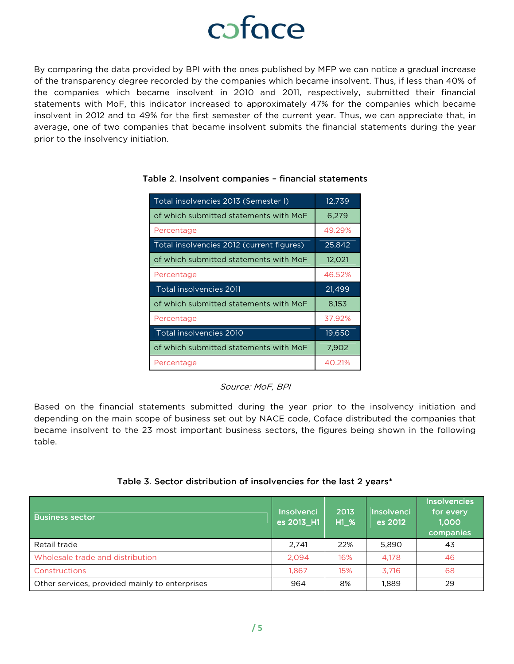By comparing the data provided by BPI with the ones published by MFP we can notice a gradual increase of the transparency degree recorded by the companies which became insolvent. Thus, if less than 40% of the companies which became insolvent in 2010 and 2011, respectively, submitted their financial statements with MoF, this indicator increased to approximately 47% for the companies which became insolvent in 2012 and to 49% for the first semester of the current year. Thus, we can appreciate that, in average, one of two companies that became insolvent submits the financial statements during the year prior to the insolvency initiation.

| Total insolvencies 2013 (Semester I)      | 12,739 |
|-------------------------------------------|--------|
| of which submitted statements with MoF    | 6,279  |
| Percentage                                | 49.29% |
| Total insolvencies 2012 (current figures) | 25,842 |
| of which submitted statements with MoF    | 12,021 |
| Percentage                                | 46.52% |
| Total insolvencies 2011                   | 21,499 |
| of which submitted statements with MoF    | 8,153  |
| Percentage                                | 37.92% |
| Total insolvencies 2010                   | 19,650 |
| of which submitted statements with MoF    | 7,902  |
| Percentage                                | 40.21% |

#### Table 2. Insolvent companies – financial statements

Source: MoF, BPI

Based on the financial statements submitted during the year prior to the insolvency initiation and depending on the main scope of business set out by NACE code, Coface distributed the companies that became insolvent to the 23 most important business sectors, the figures being shown in the following table.

|  |  |  |  | Table 3. Sector distribution of insolvencies for the last 2 years* |
|--|--|--|--|--------------------------------------------------------------------|
|--|--|--|--|--------------------------------------------------------------------|

| <b>Business sector</b>                         | Insolvenci<br>es 2013_H1 | 2013<br>$H1_{\_\infty}$ % | Insolvenci<br>es 2012 | <b>Insolvencies</b><br>for every<br>1.000<br>companies |
|------------------------------------------------|--------------------------|---------------------------|-----------------------|--------------------------------------------------------|
| Retail trade                                   | 2.741                    | 22%                       | 5.890                 | 43                                                     |
| Wholesale trade and distribution               | 2.094                    | 16%                       | 4,178                 | 46                                                     |
| Constructions                                  | 1.867                    | 15%                       | 3.716                 | 68                                                     |
| Other services, provided mainly to enterprises | 964                      | 8%                        | 1,889                 | 29                                                     |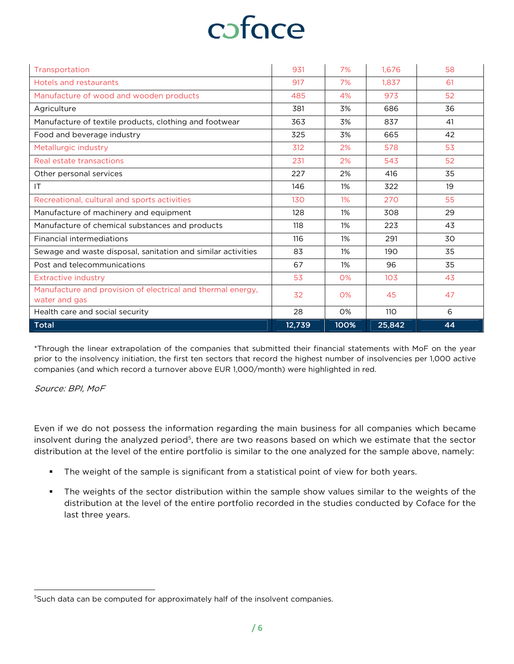| Transportation                                                               | 931    | 7%    | 1.676           | 58 |
|------------------------------------------------------------------------------|--------|-------|-----------------|----|
| Hotels and restaurants                                                       | 917    | 7%    | 1.837           | 61 |
| Manufacture of wood and wooden products                                      | 485    | 4%    | 973             | 52 |
| Agriculture                                                                  | 381    | 3%    | 686             | 36 |
| Manufacture of textile products, clothing and footwear                       | 363    | 3%    | 837             | 41 |
| Food and beverage industry                                                   | 325    | 3%    | 665             | 42 |
| Metallurgic industry                                                         | 312    | 2%    | 578             | 53 |
| Real estate transactions                                                     | 231    | 2%    | 543             | 52 |
| Other personal services                                                      | 227    | 2%    | 416             | 35 |
| IT                                                                           | 146    | 1%    | 322             | 19 |
| Recreational, cultural and sports activities                                 | 130    | $1\%$ | 270             | 55 |
| Manufacture of machinery and equipment                                       | 128    | $1\%$ | 308             | 29 |
| Manufacture of chemical substances and products                              | 118    | 1%    | 223             | 43 |
| <b>Financial intermediations</b>                                             | 116    | 1%    | 291             | 30 |
| Sewage and waste disposal, sanitation and similar activities                 | 83     | 1%    | 190             | 35 |
| Post and telecommunications                                                  | 67     | 1%    | 96              | 35 |
| <b>Extractive industry</b>                                                   | 53     | 0%    | 10 <sub>3</sub> | 43 |
| Manufacture and provision of electrical and thermal energy,<br>water and gas | 32     | O%    | 45              | 47 |
| Health care and social security                                              | 28     | 0%    | 110             | 6  |
| <b>Total</b>                                                                 | 12,739 | 100%  | 25,842          | 44 |

\*Through the linear extrapolation of the companies that submitted their financial statements with MoF on the year prior to the insolvency initiation, the first ten sectors that record the highest number of insolvencies per 1,000 active companies (and which record a turnover above EUR 1,000/month) were highlighted in red.

#### Source: BPI, MoF

l

Even if we do not possess the information regarding the main business for all companies which became insolvent during the analyzed period<sup>5</sup>, there are two reasons based on which we estimate that the sector distribution at the level of the entire portfolio is similar to the one analyzed for the sample above, namely:

- The weight of the sample is significant from a statistical point of view for both years.
- The weights of the sector distribution within the sample show values similar to the weights of the distribution at the level of the entire portfolio recorded in the studies conducted by Coface for the last three years.

<sup>&</sup>lt;sup>5</sup>Such data can be computed for approximately half of the insolvent companies.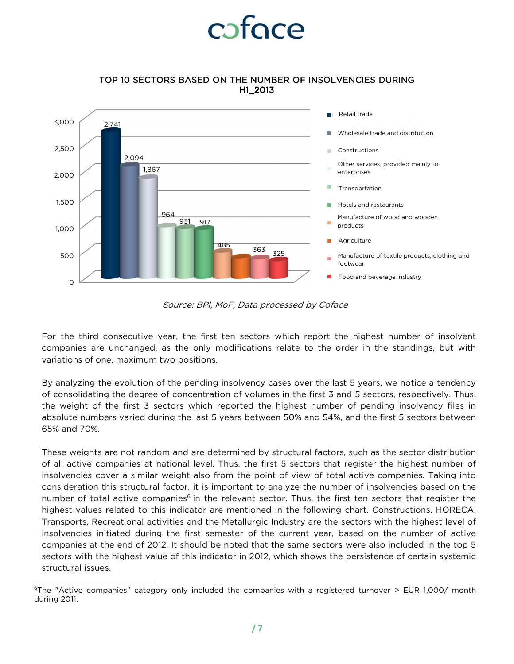#### TOP 10 SECTORS BASED ON THE NUMBER OF INSOLVENCIES DURING H1\_2013



Source: BPI, MoF, Data processed by Coface

For the third consecutive year, the first ten sectors which report the highest number of insolvent companies are unchanged, as the only modifications relate to the order in the standings, but with variations of one, maximum two positions.

By analyzing the evolution of the pending insolvency cases over the last 5 years, we notice a tendency of consolidating the degree of concentration of volumes in the first 3 and 5 sectors, respectively. Thus, the weight of the first 3 sectors which reported the highest number of pending insolvency files in absolute numbers varied during the last 5 years between 50% and 54%, and the first 5 sectors between 65% and 70%.

These weights are not random and are determined by structural factors, such as the sector distribution of all active companies at national level. Thus, the first 5 sectors that register the highest number of insolvencies cover a similar weight also from the point of view of total active companies. Taking into consideration this structural factor, it is important to analyze the number of insolvencies based on the number of total active companies<sup>6</sup> in the relevant sector. Thus, the first ten sectors that register the highest values related to this indicator are mentioned in the following chart. Constructions, HORECA, Transports, Recreational activities and the Metallurgic Industry are the sectors with the highest level of insolvencies initiated during the first semester of the current year, based on the number of active companies at the end of 2012. It should be noted that the same sectors were also included in the top 5 sectors with the highest value of this indicator in 2012, which shows the persistence of certain systemic structural issues.

 $\overline{a}$ 

<sup>&</sup>lt;sup>6</sup>The "Active companies" category only included the companies with a registered turnover > EUR 1,000/ month during 2011.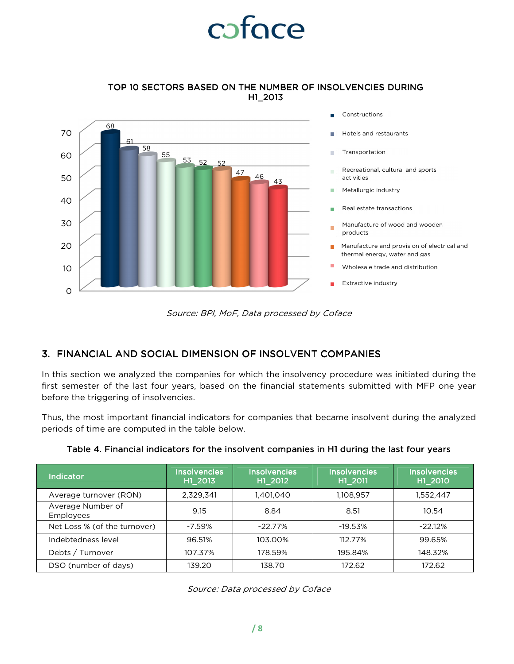TOP 10 SECTORS BASED ON THE NUMBER OF INSOLVENCIES DURING H1\_2013



Source: BPI, MoF, Data processed by Coface

#### 3. FINANCIAL AND SOCIAL DIMENSION OF INSOLVENT COMPANIES

In this section we analyzed the companies for which the insolvency procedure was initiated during the first semester of the last four years, based on the financial statements submitted with MFP one year before the triggering of insolvencies.

Thus, the most important financial indicators for companies that became insolvent during the analyzed periods of time are computed in the table below.

| Indicator                             | <b>Insolvencies</b><br>H1_2013 | <b>Insolvencies</b><br>H1_2012 | <b>Insolvencies</b><br>H1_2011 | <b>Insolvencies</b><br>H1_2010 |
|---------------------------------------|--------------------------------|--------------------------------|--------------------------------|--------------------------------|
| Average turnover (RON)                | 2,329,341                      | 1,401,040                      | 1,108,957                      | 1,552,447                      |
| Average Number of<br><b>Employees</b> | 9.15                           | 8.84                           | 8.51                           | 10.54                          |
| Net Loss % (of the turnover)          | $-7.59%$                       | $-22.77\%$                     | $-19.53%$                      | $-22.12\%$                     |
| Indebtedness level                    | 96.51%                         | 103.00%                        | 112.77%                        | 99.65%                         |
| Debts / Turnover                      | 107.37%                        | 178.59%                        | 195.84%                        | 148.32%                        |
| DSO (number of days)                  | 139.20                         | 138.70                         | 172.62                         | 172.62                         |

|  | Table 4. Financial indicators for the insolvent companies in H1 during the last four years |  |  |  |  |
|--|--------------------------------------------------------------------------------------------|--|--|--|--|
|  |                                                                                            |  |  |  |  |

Source: Data processed by Coface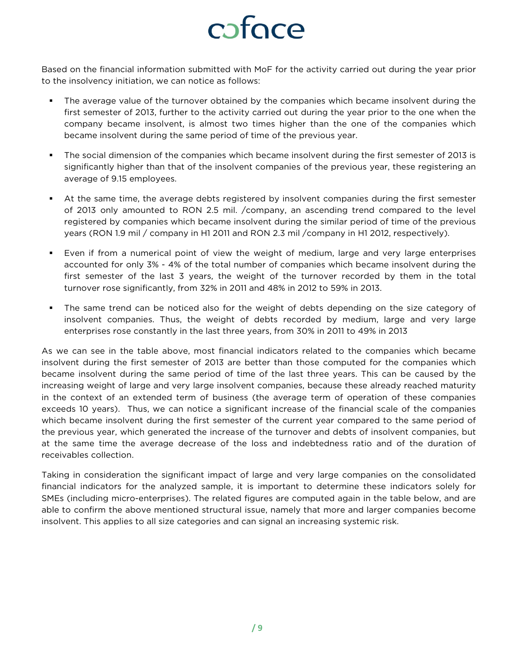Based on the financial information submitted with MoF for the activity carried out during the year prior to the insolvency initiation, we can notice as follows:

- The average value of the turnover obtained by the companies which became insolvent during the first semester of 2013, further to the activity carried out during the year prior to the one when the company became insolvent, is almost two times higher than the one of the companies which became insolvent during the same period of time of the previous year.
- The social dimension of the companies which became insolvent during the first semester of 2013 is significantly higher than that of the insolvent companies of the previous year, these registering an average of 9.15 employees.
- At the same time, the average debts registered by insolvent companies during the first semester of 2013 only amounted to RON 2.5 mil. /company, an ascending trend compared to the level registered by companies which became insolvent during the similar period of time of the previous years (RON 1.9 mil / company in H1 2011 and RON 2.3 mil /company in H1 2012, respectively).
- Even if from a numerical point of view the weight of medium, large and very large enterprises accounted for only 3% - 4% of the total number of companies which became insolvent during the first semester of the last 3 years, the weight of the turnover recorded by them in the total turnover rose significantly, from 32% in 2011 and 48% in 2012 to 59% in 2013.
- The same trend can be noticed also for the weight of debts depending on the size category of insolvent companies. Thus, the weight of debts recorded by medium, large and very large enterprises rose constantly in the last three years, from 30% in 2011 to 49% in 2013

As we can see in the table above, most financial indicators related to the companies which became insolvent during the first semester of 2013 are better than those computed for the companies which became insolvent during the same period of time of the last three years. This can be caused by the increasing weight of large and very large insolvent companies, because these already reached maturity in the context of an extended term of business (the average term of operation of these companies exceeds 10 years). Thus, we can notice a significant increase of the financial scale of the companies which became insolvent during the first semester of the current year compared to the same period of the previous year, which generated the increase of the turnover and debts of insolvent companies, but at the same time the average decrease of the loss and indebtedness ratio and of the duration of receivables collection.

Taking in consideration the significant impact of large and very large companies on the consolidated financial indicators for the analyzed sample, it is important to determine these indicators solely for SMEs (including micro-enterprises). The related figures are computed again in the table below, and are able to confirm the above mentioned structural issue, namely that more and larger companies become insolvent. This applies to all size categories and can signal an increasing systemic risk.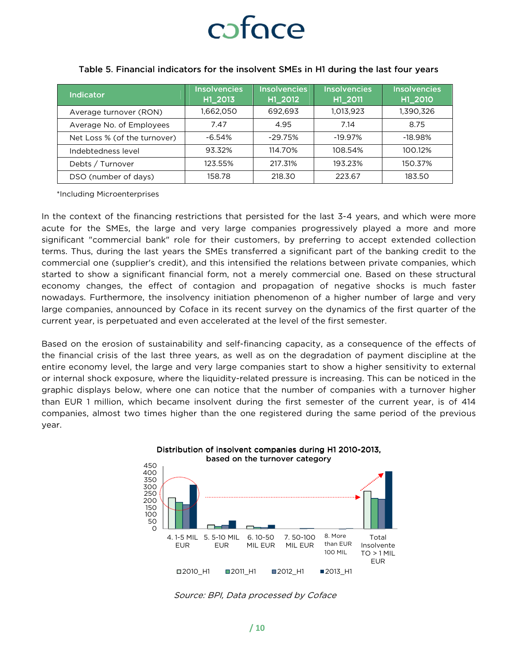### caface

| <b>Indicator</b>             | <b>Insolvencies</b><br>H1 2013 | <b>Insolvencies</b><br>H1 2012 | <b>Insolvencies</b><br>H1 2011 | <b>Insolvencies</b><br>H1 2010 |
|------------------------------|--------------------------------|--------------------------------|--------------------------------|--------------------------------|
| Average turnover (RON)       | 1,662,050                      | 692,693                        | 1,013,923                      | 1,390,326                      |
| Average No. of Employees     | 7.47                           | 4.95                           | 7.14                           | 8.75                           |
| Net Loss % (of the turnover) | $-6.54%$                       | $-29.75%$                      | $-19.97\%$                     | $-18.98%$                      |
| Indebtedness level           | 93.32%                         | 114.70%                        | 108.54%                        | 100.12%                        |
| Debts / Turnover             | 123.55%                        | 217.31%                        | 193.23%                        | 150.37%                        |
| DSO (number of days)         | 158.78                         | 218.30                         | 223.67                         | 183.50                         |

#### Table 5. Financial indicators for the insolvent SMEs in H1 during the last four years

\*Including Microenterprises

In the context of the financing restrictions that persisted for the last 3-4 years, and which were more acute for the SMEs, the large and very large companies progressively played a more and more significant "commercial bank" role for their customers, by preferring to accept extended collection terms. Thus, during the last years the SMEs transferred a significant part of the banking credit to the commercial one (supplier's credit), and this intensified the relations between private companies, which started to show a significant financial form, not a merely commercial one. Based on these structural economy changes, the effect of contagion and propagation of negative shocks is much faster nowadays. Furthermore, the insolvency initiation phenomenon of a higher number of large and very large companies, announced by Coface in its recent survey on the dynamics of the first quarter of the current year, is perpetuated and even accelerated at the level of the first semester.

Based on the erosion of sustainability and self-financing capacity, as a consequence of the effects of the financial crisis of the last three years, as well as on the degradation of payment discipline at the entire economy level, the large and very large companies start to show a higher sensitivity to external or internal shock exposure, where the liquidity-related pressure is increasing. This can be noticed in the graphic displays below, where one can notice that the number of companies with a turnover higher than EUR 1 million, which became insolvent during the first semester of the current year, is of 414 companies, almost two times higher than the one registered during the same period of the previous year.



Distribution of insolvent companies during H1 2010-2013,

Source: BPI, Data processed by Coface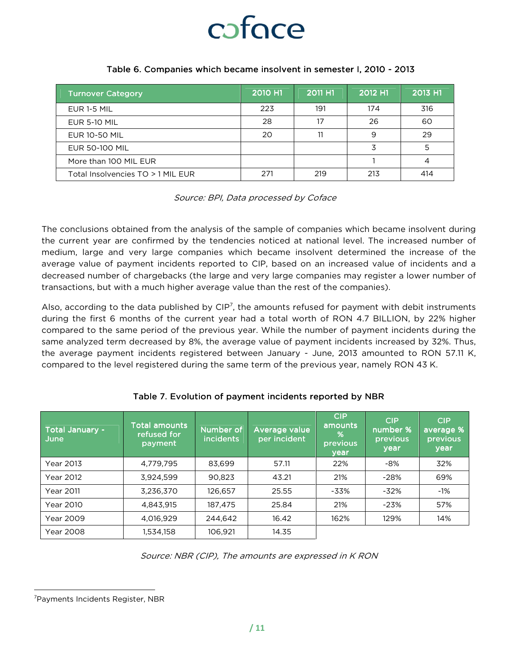

#### Table 6. Companies which became insolvent in semester I, 2010 - 2013

| <b>Turnover Category</b>          | 2010 H1 | 2011 H1 | 2012 H1 | 2013 H1 |
|-----------------------------------|---------|---------|---------|---------|
| EUR 1-5 MIL                       | 223     | 191     | 174     | 316     |
| <b>EUR 5-10 MIL</b>               | 28      |         | 26      | 60      |
| <b>EUR 10-50 MIL</b>              | 20      |         | 9       | 29      |
| <b>EUR 50-100 MIL</b>             |         |         |         |         |
| More than 100 MIL EUR             |         |         |         |         |
| Total Insolvencies TO > 1 MIL EUR | 271     | 219     | 213     | 414     |

Source: BPI, Data processed by Coface

The conclusions obtained from the analysis of the sample of companies which became insolvent during the current year are confirmed by the tendencies noticed at national level. The increased number of medium, large and very large companies which became insolvent determined the increase of the average value of payment incidents reported to CIP, based on an increased value of incidents and a decreased number of chargebacks (the large and very large companies may register a lower number of transactions, but with a much higher average value than the rest of the companies).

Also, according to the data published by  $CIP<sup>7</sup>$ , the amounts refused for payment with debit instruments during the first 6 months of the current year had a total worth of RON 4.7 BILLION, by 22% higher compared to the same period of the previous year. While the number of payment incidents during the same analyzed term decreased by 8%, the average value of payment incidents increased by 32%. Thus, the average payment incidents registered between January - June, 2013 amounted to RON 57.11 K, compared to the level registered during the same term of the previous year, namely RON 43 K.

| Total January -<br>June | <b>Total amounts</b><br>refused for<br>payment | Number of<br><b>incidents</b> | Average value<br>per incident | <b>CIP</b><br>amounts<br>%<br>previous<br>year | <b>CIP</b><br>number %<br>previous<br>year | <b>CIP</b><br>average %'<br>previous<br>year |
|-------------------------|------------------------------------------------|-------------------------------|-------------------------------|------------------------------------------------|--------------------------------------------|----------------------------------------------|
| Year 2013               | 4,779,795                                      | 83,699                        | 57.11                         | 22%                                            | $-8%$                                      | 32%                                          |
| Year 2012               | 3,924,599                                      | 90.823                        | 43.21                         | 21%                                            | $-28%$                                     | 69%                                          |
| <b>Year 2011</b>        | 3,236,370                                      | 126.657                       | 25.55                         | $-33%$                                         | $-32%$                                     | $-1%$                                        |
| Year 2010               | 4,843,915                                      | 187,475                       | 25.84                         | 21%                                            | $-23%$                                     | 57%                                          |
| Year 2009               | 4.016.929                                      | 244.642                       | 16.42                         | 162%                                           | 129%                                       | 14%                                          |
| <b>Year 2008</b>        | 1,534,158                                      | 106,921                       | 14.35                         |                                                |                                            |                                              |

#### Table 7. Evolution of payment incidents reported by NBR

Source: NBR (CIP), The amounts are expressed in K RON

l

<sup>7</sup>Payments Incidents Register, NBR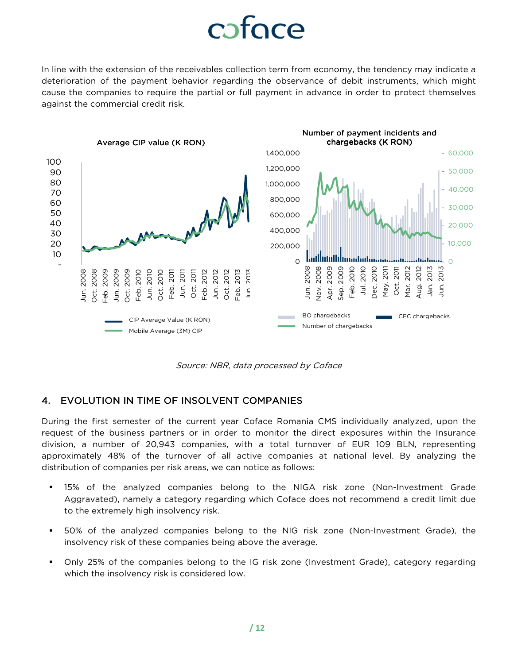### caface

In line with the extension of the receivables collection term from economy, the tendency may indicate a deterioration of the payment behavior regarding the observance of debit instruments, which might cause the companies to require the partial or full payment in advance in order to protect themselves against the commercial credit risk.



Source: NBR, data processed by Coface

#### 4. EVOLUTION IN TIME OF INSOLVENT COMPANIES

During the first semester of the current year Coface Romania CMS individually analyzed, upon the request of the business partners or in order to monitor the direct exposures within the Insurance division, a number of 20,943 companies, with a total turnover of EUR 109 BLN, representing approximately 48% of the turnover of all active companies at national level. By analyzing the distribution of companies per risk areas, we can notice as follows:

- 15% of the analyzed companies belong to the NIGA risk zone (Non-Investment Grade Aggravated), namely a category regarding which Coface does not recommend a credit limit due to the extremely high insolvency risk.
- 50% of the analyzed companies belong to the NIG risk zone (Non-Investment Grade), the insolvency risk of these companies being above the average.
- Only 25% of the companies belong to the IG risk zone (Investment Grade), category regarding which the insolvency risk is considered low.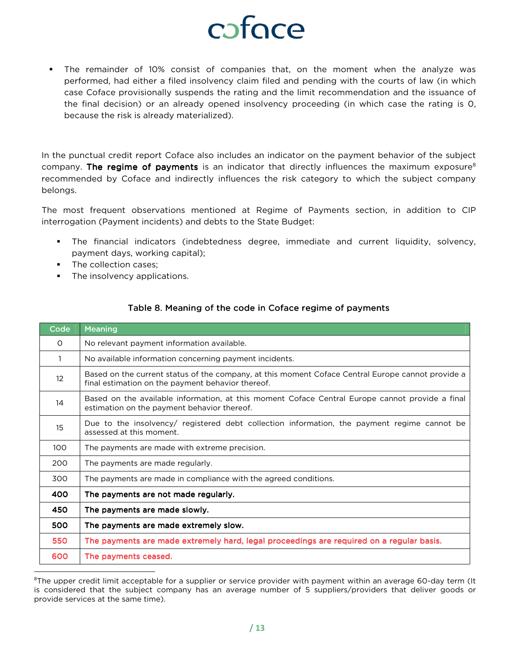### cofoce

 The remainder of 10% consist of companies that, on the moment when the analyze was performed, had either a filed insolvency claim filed and pending with the courts of law (in which case Coface provisionally suspends the rating and the limit recommendation and the issuance of the final decision) or an already opened insolvency proceeding (in which case the rating is 0, because the risk is already materialized).

In the punctual credit report Coface also includes an indicator on the payment behavior of the subject company. The regime of payments is an indicator that directly influences the maximum exposure<sup>8</sup> recommended by Coface and indirectly influences the risk category to which the subject company belongs.

The most frequent observations mentioned at Regime of Payments section, in addition to CIP interrogation (Payment incidents) and debts to the State Budget:

- The financial indicators (indebtedness degree, immediate and current liquidity, solvency, payment days, working capital);
- The collection cases:
- **The insolvency applications.**

| Code              | <b>Meaning</b>                                                                                                                                         |
|-------------------|--------------------------------------------------------------------------------------------------------------------------------------------------------|
| 0                 | No relevant payment information available.                                                                                                             |
| 1                 | No available information concerning payment incidents.                                                                                                 |
| $12 \overline{ }$ | Based on the current status of the company, at this moment Coface Central Europe cannot provide a<br>final estimation on the payment behavior thereof. |
| 14                | Based on the available information, at this moment Coface Central Europe cannot provide a final<br>estimation on the payment behavior thereof.         |
| 15                | Due to the insolvency/ registered debt collection information, the payment regime cannot be<br>assessed at this moment.                                |
| 100               | The payments are made with extreme precision.                                                                                                          |
| 200               | The payments are made regularly.                                                                                                                       |
| 300               | The payments are made in compliance with the agreed conditions.                                                                                        |
| 400               | The payments are not made regularly.                                                                                                                   |
| 450               | The payments are made slowly.                                                                                                                          |
| 500               | The payments are made extremely slow.                                                                                                                  |
| 550               | The payments are made extremely hard, legal proceedings are required on a regular basis.                                                               |
| 600               | The payments ceased.                                                                                                                                   |
|                   |                                                                                                                                                        |

#### Table 8. Meaning of the code in Coface regime of payments

<sup>&</sup>lt;sup>8</sup>The upper credit limit acceptable for a supplier or service provider with payment within an average 60-day term (It is considered that the subject company has an average number of 5 suppliers/providers that deliver goods or provide services at the same time).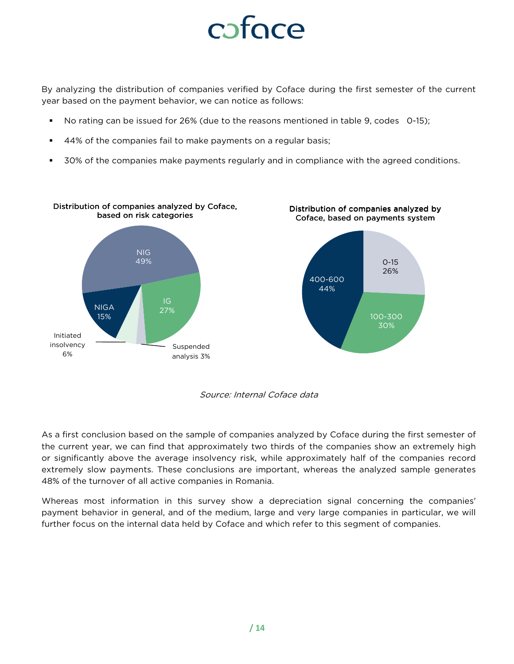By analyzing the distribution of companies verified by Coface during the first semester of the current year based on the payment behavior, we can notice as follows:

- No rating can be issued for 26% (due to the reasons mentioned in table 9, codes 0-15);
- 44% of the companies fail to make payments on a regular basis;
- **50%** of the companies make payments regularly and in compliance with the agreed conditions.





As a first conclusion based on the sample of companies analyzed by Coface during the first semester of the current year, we can find that approximately two thirds of the companies show an extremely high or significantly above the average insolvency risk, while approximately half of the companies record extremely slow payments. These conclusions are important, whereas the analyzed sample generates 48% of the turnover of all active companies in Romania.

Whereas most information in this survey show a depreciation signal concerning the companies' payment behavior in general, and of the medium, large and very large companies in particular, we will further focus on the internal data held by Coface and which refer to this segment of companies.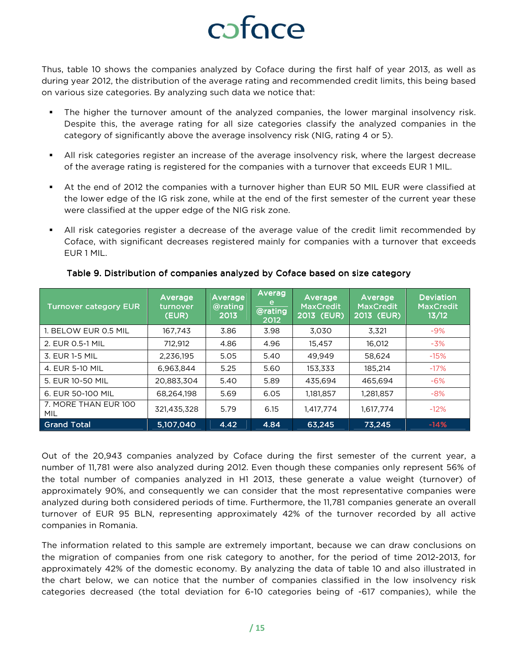Thus, table 10 shows the companies analyzed by Coface during the first half of year 2013, as well as during year 2012, the distribution of the average rating and recommended credit limits, this being based on various size categories. By analyzing such data we notice that:

- The higher the turnover amount of the analyzed companies, the lower marginal insolvency risk. Despite this, the average rating for all size categories classify the analyzed companies in the category of significantly above the average insolvency risk (NIG, rating 4 or 5).
- All risk categories register an increase of the average insolvency risk, where the largest decrease of the average rating is registered for the companies with a turnover that exceeds EUR 1 MIL.
- At the end of 2012 the companies with a turnover higher than EUR 50 MIL EUR were classified at the lower edge of the IG risk zone, while at the end of the first semester of the current year these were classified at the upper edge of the NIG risk zone.
- All risk categories register a decrease of the average value of the credit limit recommended by Coface, with significant decreases registered mainly for companies with a turnover that exceeds EUR 1 MIL.

| <b>Turnover category EUR</b>       | Average<br>turnover<br>(EUR) | Average<br>@rating<br>2013 | Averag<br>e<br>@rating<br>2012 | Average<br><b>MaxCredit</b><br>2013 (EUR) | Average<br><b>MaxCredit</b><br>2013 (EUR) | <b>Deviation</b><br><b>MaxCredit</b><br>13/12 |
|------------------------------------|------------------------------|----------------------------|--------------------------------|-------------------------------------------|-------------------------------------------|-----------------------------------------------|
| 1. BELOW EUR 0.5 MIL               | 167,743                      | 3.86                       | 3.98                           | 3.030                                     | 3.321                                     | $-9%$                                         |
| 2. EUR 0.5-1 MIL                   | 712.912                      | 4.86                       | 4.96                           | 15.457                                    | 16.012                                    | $-3%$                                         |
| 3. EUR 1-5 MIL                     | 2,236,195                    | 5.05                       | 5.40                           | 49,949                                    | 58.624                                    | $-15%$                                        |
| 4. EUR 5-10 MIL                    | 6.963.844                    | 5.25                       | 5.60                           | 153.333                                   | 185.214                                   | $-17%$                                        |
| 5. EUR 10-50 MIL                   | 20.883.304                   | 5.40                       | 5.89                           | 435.694                                   | 465.694                                   | $-6%$                                         |
| 6. EUR 50-100 MIL                  | 68.264.198                   | 5.69                       | 6.05                           | 1,181,857                                 | 1,281,857                                 | $-8%$                                         |
| 7. MORE THAN EUR 100<br><b>MIL</b> | 321,435,328                  | 5.79                       | 6.15                           | 1.417.774                                 | 1.617.774                                 | $-12%$                                        |
| <b>Grand Total</b>                 | 5,107,040                    | 4.42                       | 4.84                           | 63.245                                    | 73.245                                    | $-14%$                                        |

Table 9. Distribution of companies analyzed by Coface based on size category

Out of the 20,943 companies analyzed by Coface during the first semester of the current year, a number of 11,781 were also analyzed during 2012. Even though these companies only represent 56% of the total number of companies analyzed in H1 2013, these generate a value weight (turnover) of approximately 90%, and consequently we can consider that the most representative companies were analyzed during both considered periods of time. Furthermore, the 11,781 companies generate an overall turnover of EUR 95 BLN, representing approximately 42% of the turnover recorded by all active companies in Romania.

The information related to this sample are extremely important, because we can draw conclusions on the migration of companies from one risk category to another, for the period of time 2012-2013, for approximately 42% of the domestic economy. By analyzing the data of table 10 and also illustrated in the chart below, we can notice that the number of companies classified in the low insolvency risk categories decreased (the total deviation for 6-10 categories being of -617 companies), while the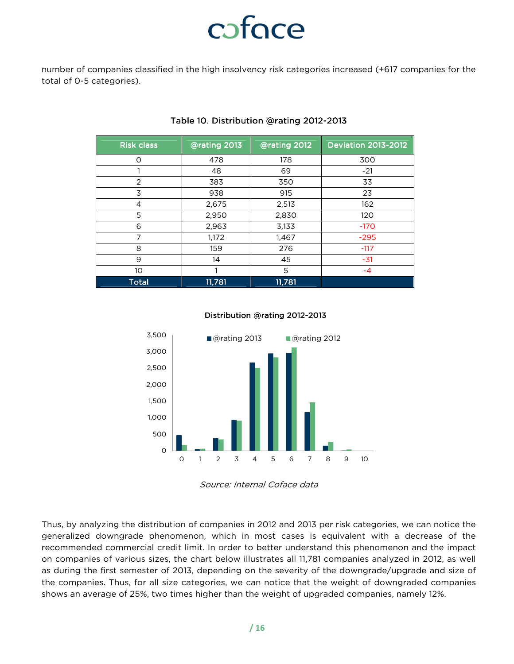number of companies classified in the high insolvency risk categories increased (+617 companies for the total of 0-5 categories).

| <b>Risk class</b> | @rating 2013 | @rating 2012 | <b>Deviation 2013-2012</b> |
|-------------------|--------------|--------------|----------------------------|
| $\circ$           | 478          | 178          | 300                        |
|                   | 48           | 69           | $-21$                      |
| 2                 | 383          | 350          | 33                         |
| 3                 | 938          | 915          | 23                         |
| $\overline{4}$    | 2,675        | 2,513        | 162                        |
| 5                 | 2,950        | 2,830        | 120                        |
| 6                 | 2,963        | 3,133        | $-170$                     |
| 7                 | 1,172        | 1,467        | $-295$                     |
| 8                 | 159          | 276          | $-117$                     |
| 9                 | 14           | 45           | $-31$                      |
| 10                |              | 5            | $-4$                       |
| <b>Total</b>      | 11,781       | 11,781       |                            |

#### Table 10. Distribution @rating 2012-2013

#### Distribution @rating 2012-2013



Source: Internal Coface data

Thus, by analyzing the distribution of companies in 2012 and 2013 per risk categories, we can notice the generalized downgrade phenomenon, which in most cases is equivalent with a decrease of the recommended commercial credit limit. In order to better understand this phenomenon and the impact on companies of various sizes, the chart below illustrates all 11,781 companies analyzed in 2012, as well as during the first semester of 2013, depending on the severity of the downgrade/upgrade and size of the companies. Thus, for all size categories, we can notice that the weight of downgraded companies shows an average of 25%, two times higher than the weight of upgraded companies, namely 12%.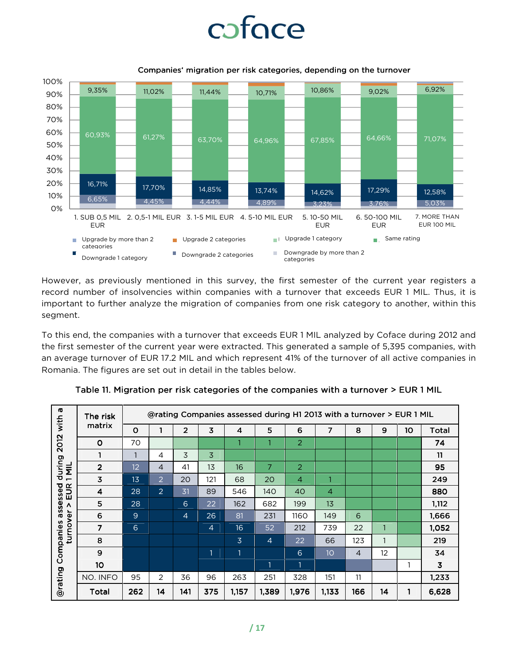### cofoce



Companies' migration per risk categories, depending on the turnover

However, as previously mentioned in this survey, the first semester of the current year registers a record number of insolvencies within companies with a turnover that exceeds EUR 1 MIL. Thus, it is important to further analyze the migration of companies from one risk category to another, within this segment.

To this end, the companies with a turnover that exceeds EUR 1 MIL analyzed by Coface during 2012 and the first semester of the current year were extracted. This generated a sample of 5,395 companies, with an average turnover of EUR 17.2 MIL and which represent 41% of the turnover of all active companies in Romania. The figures are set out in detail in the tables below.

| <b>ro</b><br>with                                        | The risk                | @rating Companies assessed during H1 2013 with a turnover > EUR 1 MIL |                |                |                |                |                |                |                |                |                   |                 |       |
|----------------------------------------------------------|-------------------------|-----------------------------------------------------------------------|----------------|----------------|----------------|----------------|----------------|----------------|----------------|----------------|-------------------|-----------------|-------|
| <b>2012</b>                                              | matrix                  | $\mathbf 0$                                                           |                | $\overline{2}$ | 3              | 4              | 5              | 6              | 7              | 8              | 9                 | 10 <sup>°</sup> | Total |
|                                                          | O                       | 70                                                                    |                |                |                |                |                | 2              |                |                |                   |                 | 74    |
|                                                          | 1                       |                                                                       | 4              | 3              | 3              |                |                |                |                |                |                   |                 | 11    |
| during<br>$1$ MIL                                        | $\overline{2}$          | 12                                                                    | $\overline{4}$ | 41             | 1 <sub>3</sub> | 16             | 7              | 2              |                |                |                   |                 | 95    |
| EUR<br>assessed<br>Λ<br>turnover<br>Companies<br>@rating | $\overline{\mathbf{3}}$ | 13                                                                    | 2              | 20             | 121            | 68             | 20             | $\overline{4}$ | 1              |                |                   |                 | 249   |
|                                                          | 4                       | 28                                                                    | $\overline{2}$ | 31             | 89             | 546            | 140            | 40             | $\overline{4}$ |                |                   |                 | 880   |
|                                                          | 5                       | 28                                                                    |                | 6              | 22             | 162            | 682            | 199            | 13             |                |                   |                 | 1,112 |
|                                                          | 6                       | 9                                                                     |                | $\overline{4}$ | 26             | 81             | 231            | 1160           | 149            | 6              |                   |                 | 1,666 |
|                                                          | $\overline{7}$          | 6                                                                     |                |                | $\overline{4}$ | 16             | 52             | 212            | 739            | 22             |                   |                 | 1,052 |
|                                                          | 8                       |                                                                       |                |                |                | $\overline{3}$ | $\overline{4}$ | 22             | 66             | 123            | 1                 |                 | 219   |
|                                                          | 9                       |                                                                       |                |                | 1              | 1              |                | 6              | 10             | $\overline{4}$ | $12 \overline{ }$ |                 | 34    |
|                                                          | 10                      |                                                                       |                |                |                |                | $\mathbf{1}$   | $\mathbf{1}$   |                |                |                   | 1               | 3     |
|                                                          | NO. INFO                | 95                                                                    | 2              | 36             | 96             | 263            | 251            | 328            | 151            | 11             |                   |                 | 1,233 |
|                                                          | Total                   | 262                                                                   | 14             | 141            | 375            | 1,157          | 1,389          | 1,976          | 1,133          | 166            | 14                |                 | 6,628 |

Table 11. Migration per risk categories of the companies with a turnover > EUR 1 MIL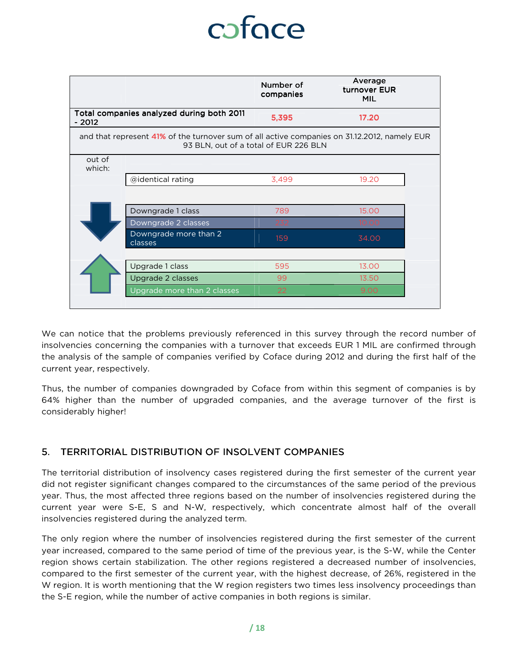|                  |                                                                                              | Number of<br>companies                | Average<br>turnover EUR<br><b>MIL</b> |  |
|------------------|----------------------------------------------------------------------------------------------|---------------------------------------|---------------------------------------|--|
| - 2012           | Total companies analyzed during both 2011                                                    | 5,395                                 | 17.20                                 |  |
|                  | and that represent 41% of the turnover sum of all active companies on 31.12.2012, namely EUR | 93 BLN, out of a total of EUR 226 BLN |                                       |  |
| out of<br>which: |                                                                                              |                                       |                                       |  |
|                  | @identical rating                                                                            | 3,499                                 | 19.20                                 |  |
|                  |                                                                                              |                                       |                                       |  |
|                  | Downgrade 1 class                                                                            | 789                                   | 15.00                                 |  |
|                  | Downgrade 2 classes                                                                          | 232                                   | 10.00                                 |  |
|                  | Downgrade more than 2<br>classes                                                             | 159                                   | 34.00                                 |  |
|                  |                                                                                              |                                       |                                       |  |
|                  | Upgrade 1 class                                                                              | 595                                   | 13.00                                 |  |
|                  | Upgrade 2 classes                                                                            | 99                                    | 13.50                                 |  |
|                  | Upgrade more than 2 classes                                                                  | 22                                    | 9.00                                  |  |

We can notice that the problems previously referenced in this survey through the record number of insolvencies concerning the companies with a turnover that exceeds EUR 1 MIL are confirmed through the analysis of the sample of companies verified by Coface during 2012 and during the first half of the current year, respectively.

Thus, the number of companies downgraded by Coface from within this segment of companies is by 64% higher than the number of upgraded companies, and the average turnover of the first is considerably higher!

#### 5. TERRITORIAL DISTRIBUTION OF INSOLVENT COMPANIES

The territorial distribution of insolvency cases registered during the first semester of the current year did not register significant changes compared to the circumstances of the same period of the previous year. Thus, the most affected three regions based on the number of insolvencies registered during the current year were S-E, S and N-W, respectively, which concentrate almost half of the overall insolvencies registered during the analyzed term.

The only region where the number of insolvencies registered during the first semester of the current year increased, compared to the same period of time of the previous year, is the S-W, while the Center region shows certain stabilization. The other regions registered a decreased number of insolvencies, compared to the first semester of the current year, with the highest decrease, of 26%, registered in the W region. It is worth mentioning that the W region registers two times less insolvency proceedings than the S-E region, while the number of active companies in both regions is similar.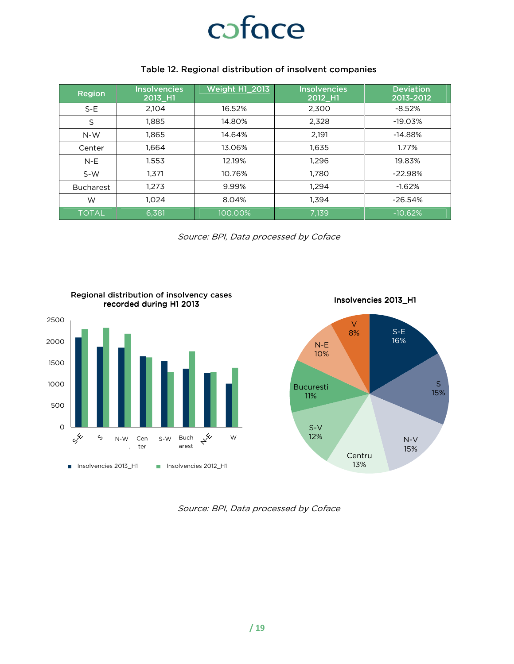

#### Table 12. Regional distribution of insolvent companies

| <b>Region</b>    | <b>Insolvencies</b><br>2013_H1 | <b>Weight H1_2013</b> | <b>Insolvencies</b><br>2012 H1 | <b>Deviation</b><br>2013-2012 |
|------------------|--------------------------------|-----------------------|--------------------------------|-------------------------------|
| $S-E$            | 2.104                          | 16.52%                | 2,300                          | $-8.52%$                      |
| S                | 1,885                          | 14.80%                | 2,328                          | $-19.03%$                     |
| $N-W$            | 1,865                          | 14.64%                | 2,191                          | $-14.88%$                     |
| Center           | 1.664                          | 13.06%                | 1,635                          | 1.77%                         |
| $N-E$            | 1,553                          | 12.19%                | 1,296                          | 19.83%                        |
| $S-W$            | 1.371                          | 10.76%                | 1,780                          | $-22.98%$                     |
| <b>Bucharest</b> | 1.273                          | 9.99%                 | 1,294                          | $-1.62%$                      |
| W                | 1.024                          |                       | 1,394                          | $-26.54%$                     |
| <b>TOTAL</b>     | 6,381                          | 100.00%               | 7,139                          | $-10.62%$                     |

Source: BPI, Data processed by Coface



Insolvencies 2013\_H1



Source: BPI, Data processed by Coface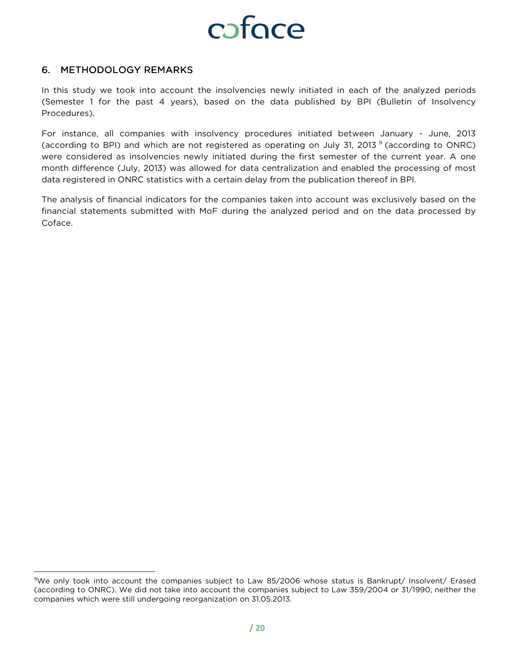

#### 6. METHODOLOGY REMARKS

 $\overline{a}$ 

In this study we took into account the insolvencies newly initiated in each of the analyzed periods (Semester 1 for the past 4 years), based on the data published by BPI (Bulletin of Insolvency Procedures).

For instance, all companies with insolvency procedures initiated between January - June, 2013 (according to BPI) and which are not registered as operating on July 31, 2013<sup>9</sup> (according to ONRC) were considered as insolvencies newly initiated during the first semester of the current year. A one month difference (July, 2013) was allowed for data centralization and enabled the processing of most data registered in ONRC statistics with a certain delay from the publication thereof in BPI.

The analysis of financial indicators for the companies taken into account was exclusively based on the financial statements submitted with MoF during the analyzed period and on the data processed by Coface.

<sup>&</sup>lt;sup>9</sup>We only took into account the companies subject to Law 85/2006 whose status is Bankrupt/ Insolvent/ Erased (according to ONRC). We did not take into account the companies subject to Law 359/2004 or 31/1990, neither the companies which were still undergoing reorganization on 31.05.2013.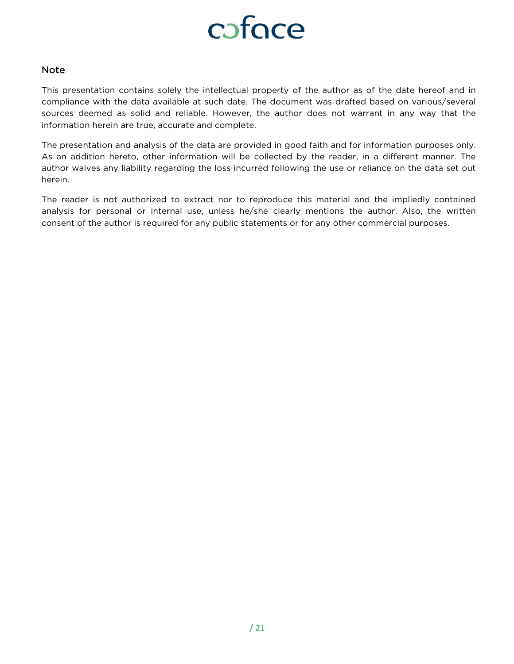

#### Note

This presentation contains solely the intellectual property of the author as of the date hereof and in compliance with the data available at such date. The document was drafted based on various/several sources deemed as solid and reliable. However, the author does not warrant in any way that the information herein are true, accurate and complete.

The presentation and analysis of the data are provided in good faith and for information purposes only. As an addition hereto, other information will be collected by the reader, in a different manner. The author waives any liability regarding the loss incurred following the use or reliance on the data set out herein.

The reader is not authorized to extract nor to reproduce this material and the impliedly contained analysis for personal or internal use, unless he/she clearly mentions the author. Also, the written consent of the author is required for any public statements or for any other commercial purposes.